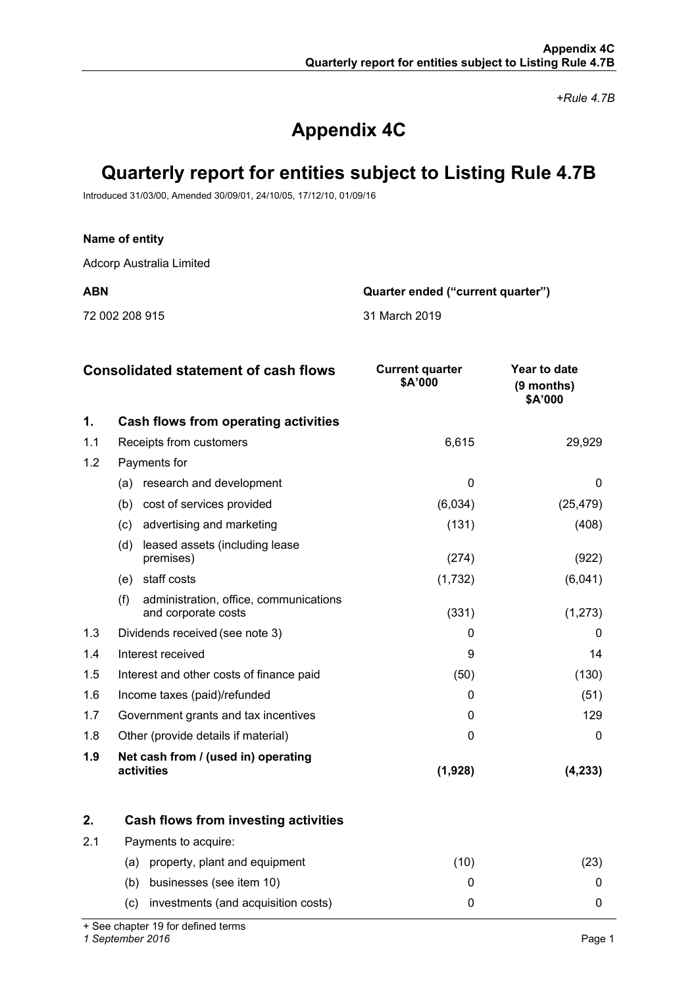*+Rule 4.7B*

# **Appendix 4C**

# **Quarterly report for entities subject to Listing Rule 4.7B**

Introduced 31/03/00, Amended 30/09/01, 24/10/05, 17/12/10, 01/09/16

## **Name of entity**

Adcorp Australia Limited

72 002 208 915 31 March 2019

**ABN Quarter ended ("current quarter")**

|     | <b>Consolidated statement of cash flows</b>                          | <b>Current quarter</b><br>\$A'000 | Year to date<br>(9 months)<br>\$A'000 |
|-----|----------------------------------------------------------------------|-----------------------------------|---------------------------------------|
| 1.  | Cash flows from operating activities                                 |                                   |                                       |
| 1.1 | Receipts from customers                                              | 6,615                             | 29,929                                |
| 1.2 | Payments for                                                         |                                   |                                       |
|     | research and development<br>(a)                                      | $\Omega$                          | $\Omega$                              |
|     | cost of services provided<br>(b)                                     | (6,034)                           | (25, 479)                             |
|     | advertising and marketing<br>(c)                                     | (131)                             | (408)                                 |
|     | leased assets (including lease<br>(d)<br>premises)                   | (274)                             | (922)                                 |
|     | staff costs<br>(e)                                                   | (1,732)                           | (6,041)                               |
|     | (f)<br>administration, office, communications<br>and corporate costs | (331)                             | (1, 273)                              |
| 1.3 | Dividends received (see note 3)                                      | 0                                 | 0                                     |
| 1.4 | Interest received                                                    | 9                                 | 14                                    |
| 1.5 | Interest and other costs of finance paid                             | (50)                              | (130)                                 |
| 1.6 | Income taxes (paid)/refunded                                         | 0                                 | (51)                                  |
| 1.7 | Government grants and tax incentives                                 | $\Omega$                          | 129                                   |
| 1.8 | Other (provide details if material)                                  | 0                                 | 0                                     |
| 1.9 | Net cash from / (used in) operating<br>activities                    | (1,928)                           | (4, 233)                              |

|     | Cash flows from investing activities       |      |  |
|-----|--------------------------------------------|------|--|
| 2.1 | Payments to acquire:                       |      |  |
|     | property, plant and equipment<br>(a)       | (10) |  |
|     | businesses (see item 10)<br>(b)            |      |  |
|     | investments (and acquisition costs)<br>(C) |      |  |

+ See chapter 19 for defined terms

*1 September 2016* Page 1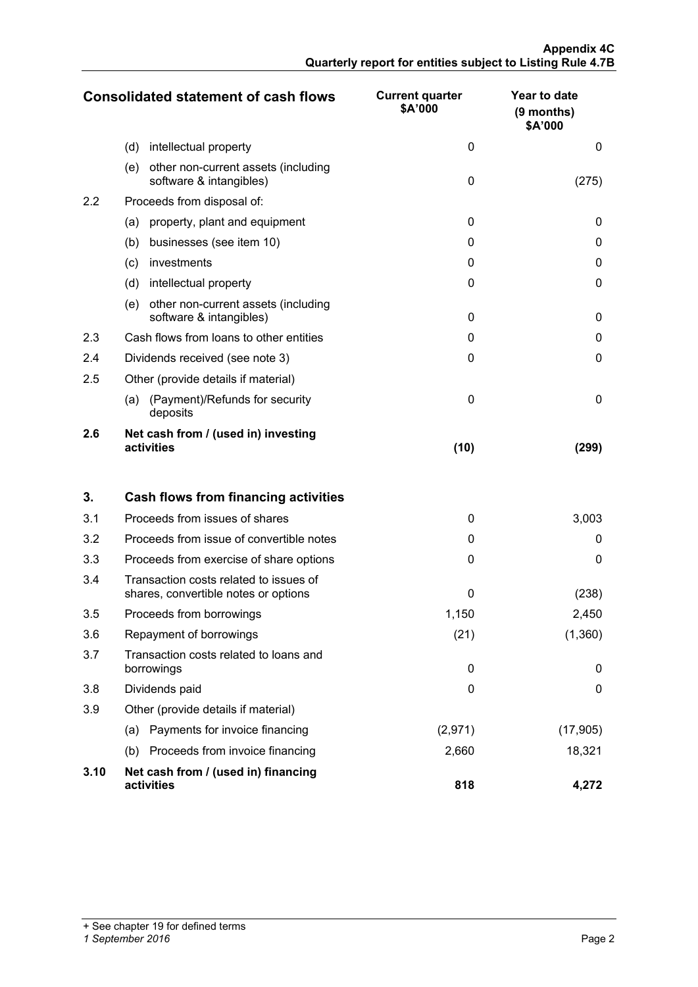|     | <b>Consolidated statement of cash flows</b>                           | <b>Current quarter</b><br>\$A'000 | Year to date<br>$(9$ months)<br>\$A'000 |
|-----|-----------------------------------------------------------------------|-----------------------------------|-----------------------------------------|
|     | (d)<br>intellectual property                                          | 0                                 | 0                                       |
|     | other non-current assets (including<br>(e)<br>software & intangibles) | $\Omega$                          | (275)                                   |
| 2.2 | Proceeds from disposal of:                                            |                                   |                                         |
|     | property, plant and equipment<br>(a)                                  | $\Omega$                          | 0                                       |
|     | (b)<br>businesses (see item 10)                                       | 0                                 | 0                                       |
|     | investments<br>(c)                                                    | 0                                 | 0                                       |
|     | (d)<br>intellectual property                                          | $\Omega$                          | 0                                       |
|     | other non-current assets (including<br>(e)<br>software & intangibles) | $\Omega$                          | 0                                       |
| 2.3 | Cash flows from loans to other entities                               | $\Omega$                          | 0                                       |
| 2.4 | Dividends received (see note 3)                                       | $\Omega$                          | 0                                       |
| 2.5 | Other (provide details if material)                                   |                                   |                                         |
|     | (Payment)/Refunds for security<br>(a)<br>deposits                     | $\Omega$                          | $\Omega$                                |
| 2.6 | Net cash from / (used in) investing<br>activities                     | (10)                              | (299)                                   |

| 3.   | Cash flows from financing activities                                           |          |           |
|------|--------------------------------------------------------------------------------|----------|-----------|
| 3.1  | Proceeds from issues of shares                                                 | 0        | 3,003     |
| 3.2  | Proceeds from issue of convertible notes                                       | 0        | 0         |
| 3.3  | Proceeds from exercise of share options                                        | 0        | 0         |
| 3.4  | Transaction costs related to issues of<br>shares, convertible notes or options | 0        | (238)     |
| 3.5  | Proceeds from borrowings                                                       | 1,150    | 2,450     |
| 3.6  | Repayment of borrowings                                                        | (21)     | (1,360)   |
| 3.7  | Transaction costs related to loans and<br>borrowings                           | $\Omega$ | 0         |
| 3.8  | Dividends paid                                                                 | $\Omega$ | 0         |
| 3.9  | Other (provide details if material)                                            |          |           |
|      | Payments for invoice financing<br>(a)                                          | (2,971)  | (17, 905) |
|      | Proceeds from invoice financing<br>(b)                                         | 2,660    | 18,321    |
| 3.10 | Net cash from / (used in) financing<br>activities                              | 818      | 4.272     |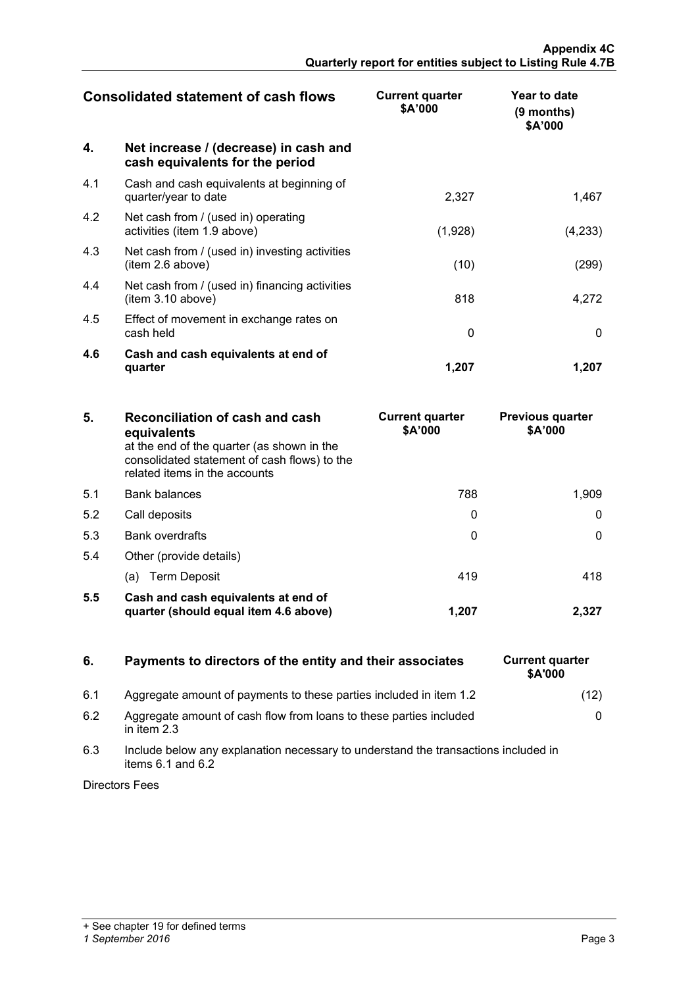| <b>Consolidated statement of cash flows</b> |                                                                          | <b>Current quarter</b><br>\$A'000 | Year to date<br>(9 months)<br>\$A'000 |
|---------------------------------------------|--------------------------------------------------------------------------|-----------------------------------|---------------------------------------|
| 4.                                          | Net increase / (decrease) in cash and<br>cash equivalents for the period |                                   |                                       |
| 4.1                                         | Cash and cash equivalents at beginning of<br>quarter/year to date        | 2,327                             | 1,467                                 |
| 4.2                                         | Net cash from / (used in) operating<br>activities (item 1.9 above)       | (1,928)                           | (4,233)                               |
| 4.3                                         | Net cash from / (used in) investing activities<br>(item 2.6 above)       | (10)                              | (299)                                 |
| 4.4                                         | Net cash from / (used in) financing activities<br>(item 3.10 above)      | 818                               | 4,272                                 |
| 4.5                                         | Effect of movement in exchange rates on<br>cash held                     | $\Omega$                          | $\mathbf{0}$                          |
| 4.6                                         | Cash and cash equivalents at end of<br>quarter                           | 1,207                             | 1.207                                 |

| 5.  | Reconciliation of cash and cash<br>equivalents<br>at the end of the quarter (as shown in the<br>consolidated statement of cash flows) to the<br>related items in the accounts | <b>Current quarter</b><br>\$A'000 | <b>Previous quarter</b><br>\$A'000 |
|-----|-------------------------------------------------------------------------------------------------------------------------------------------------------------------------------|-----------------------------------|------------------------------------|
| 5.1 | <b>Bank balances</b>                                                                                                                                                          | 788                               | 1.909                              |
| 5.2 | Call deposits                                                                                                                                                                 |                                   |                                    |
| 5.3 | <b>Bank overdrafts</b>                                                                                                                                                        |                                   |                                    |
| 5.4 | Other (provide details)                                                                                                                                                       |                                   |                                    |
|     | (a) Term Deposit                                                                                                                                                              | 419                               |                                    |
| 5.5 | Cash and cash equivalents at end of<br>quarter (should equal item 4.6 above)                                                                                                  | 1.207                             |                                    |

# **6.** Payments to directors of the entity and their associates

- 6.1 Aggregate amount of payments to these parties included in item 1.2
- 6.2 Aggregate amount of cash flow from loans to these parties included in item 2.3
- 6.3 Include below any explanation necessary to understand the transactions included in items  $6.1$  and  $6.2$

Directors Fees

| <b>Current quarter</b><br>\$A'000 |      |
|-----------------------------------|------|
|                                   | (12) |
|                                   | 0    |
|                                   |      |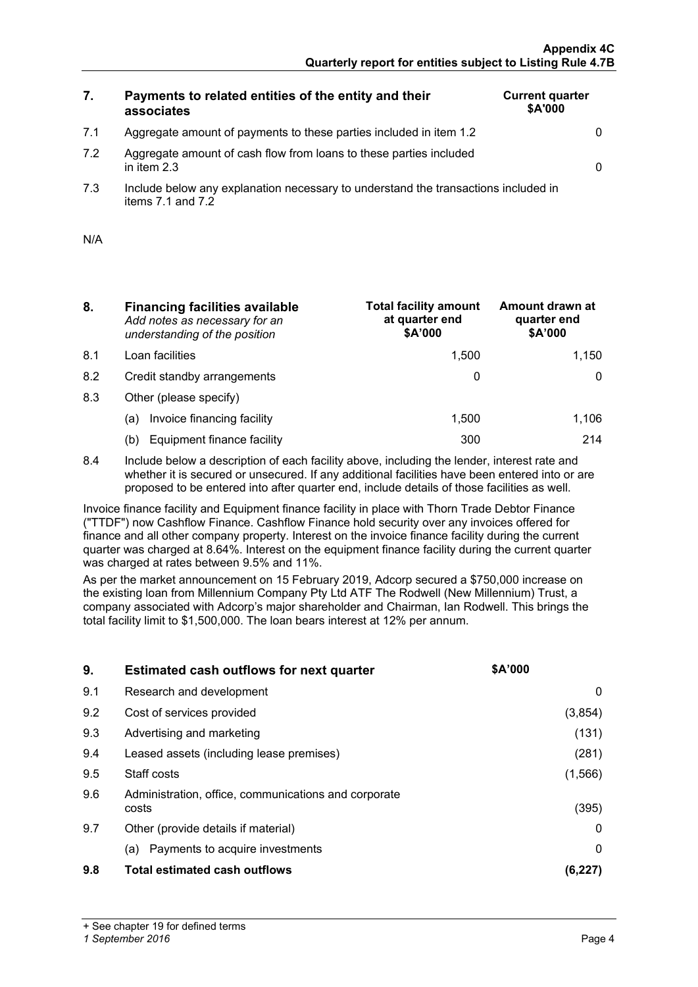# **7. Payments to related entities of the entity and their associates**

| <b>Current quarter</b><br>\$A'000 |  |
|-----------------------------------|--|
|                                   |  |
|                                   |  |

7.2 Aggregate amount of cash flow from loans to these parties included in item 2.3 0

7.1 Aggregate amount of payments to these parties included in item 1.2 0

7.3 Include below any explanation necessary to understand the transactions included in items  $7.1$  and  $7.2$ 

| N/A |  |
|-----|--|
|     |  |

- **8. Financing facilities available** *Add notes as necessary for an understanding of the position*
- 8.1 Loan facilities
- 8.2 Credit standby arrangements
- 8.3 Other (please specify)
	- (a) Invoice financing facility
	- (b) Equipment finance facility

| <b>Total facility amount</b><br>at quarter end<br>\$A'000 | Amount drawn at<br>quarter end<br>\$A'000 |
|-----------------------------------------------------------|-------------------------------------------|
| 1,500                                                     | 1,150                                     |
|                                                           |                                           |
|                                                           |                                           |
| 1,500                                                     | 1.106                                     |
|                                                           | 714                                       |

8.4 Include below a description of each facility above, including the lender, interest rate and whether it is secured or unsecured. If any additional facilities have been entered into or are proposed to be entered into after quarter end, include details of those facilities as well.

Invoice finance facility and Equipment finance facility in place with Thorn Trade Debtor Finance ("TTDF") now Cashflow Finance. Cashflow Finance hold security over any invoices offered for finance and all other company property. Interest on the invoice finance facility during the current quarter was charged at 8.64%. Interest on the equipment finance facility during the current quarter was charged at rates between 9.5% and 11%.

As per the market announcement on 15 February 2019, Adcorp secured a \$750,000 increase on the existing loan from Millennium Company Pty Ltd ATF The Rodwell (New Millennium) Trust, a company associated with Adcorp's major shareholder and Chairman, Ian Rodwell. This brings the total facility limit to \$1,500,000. The loan bears interest at 12% per annum.

| 9.  | <b>Estimated cash outflows for next quarter</b>               | <b>SA'000</b> |
|-----|---------------------------------------------------------------|---------------|
| 9.1 | Research and development                                      |               |
| 9.2 | Cost of services provided                                     | (3,854)       |
| 9.3 | Advertising and marketing                                     | (131)         |
| 9.4 | Leased assets (including lease premises)                      | (281)         |
| 9.5 | Staff costs                                                   | (1, 566)      |
| 9.6 | Administration, office, communications and corporate<br>costs | (395)         |
| 9.7 | Other (provide details if material)                           |               |
|     | Payments to acquire investments<br>(a)                        |               |
| 9.8 | <b>Total estimated cash outflows</b>                          |               |